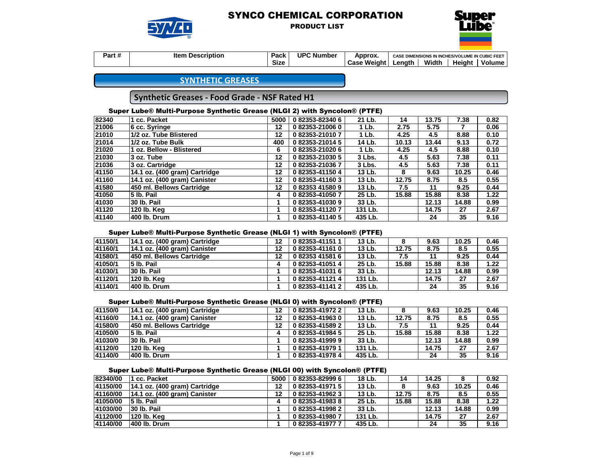

PRODUCT LIST



| <br>Part # | <b>Description</b><br>Item | Pack        | <b>UPC Number</b> | Approx.        | CASE DIMENSIONS IN INCHES/VOLUME IN CUBIC FEET |       |               |        |
|------------|----------------------------|-------------|-------------------|----------------|------------------------------------------------|-------|---------------|--------|
|            |                            | <b>Size</b> |                   | Weiaht<br>Case | ∟enath                                         | Width | <b>Height</b> | Volume |

# **SYNTHETIC GREASES**

# **Synthetic Greases - Food Grade - NSF Rated H1**

## Super Lube® Multi-Purpose Synthetic Grease (NLGI 2) with Syncolon® (PTFE)

| 82340 | cc. Packet                    | 5000 | 082353-823406   | 21 Lb.  | 14    | 13.75 | 7.38  | 0.82 |
|-------|-------------------------------|------|-----------------|---------|-------|-------|-------|------|
| 21006 | 6 cc. Syringe                 | 12   | 082353-210060   | 1 Lb.   | 2.75  | 5.75  |       | 0.06 |
| 21010 | 1/2 oz. Tube Blistered        | 12   | 082353-210107   | 1 Lb.   | 4.25  | 4.5   | 8.88  | 0.10 |
| 21014 | 1/2 oz. Tube Bulk             | 400  | 0 82353-21014 5 | 14 Lb.  | 10.13 | 13.44 | 9.13  | 0.72 |
| 21020 | 1 oz. Bellow - Blistered      | 6    | 082353-210206   | 1 Lb.   | 4.25  | 4.5   | 8.88  | 0.10 |
| 21030 | 3 oz. Tube                    | 12   | 082353-210305   | 3 Lbs.  | 4.5   | 5.63  | 7.38  | 0.11 |
| 21036 | 3 oz. Cartridge               | 12   | 082353-210367   | 3 Lbs.  | 4.5   | 5.63  | 7.38  | 0.11 |
| 41150 | 14.1 oz. (400 gram) Cartridge | 12   | 0 82353-41150 4 | 13 Lb.  | 8     | 9.63  | 10.25 | 0.46 |
| 41160 | 14.1 oz. (400 gram) Canister  | 12   | 082353-411603   | 13 Lb.  | 12.75 | 8.75  | 8.5   | 0.55 |
| 41580 | 450 ml. Bellows Cartridge     | 12   | 082353415809    | 13 Lb.  | 7.5   | 11    | 9.25  | 0.44 |
| 41050 | l5 Ib. Pail                   | 4    | 082353-410507   | 25 Lb.  | 15.88 | 15.88 | 8.38  | 1.22 |
| 41030 | 30 lb. Pail                   |      | 082353-410309   | 33 Lb.  |       | 12.13 | 14.88 | 0.99 |
| 41120 | 120 lb. Kea                   |      | 082353-411207   | 131 Lb. |       | 14.75 | 27    | 2.67 |
| 41140 | 400 lb. Drum                  |      | 082353-411405   | 435 Lb. |       | 24    | 35    | 9.16 |
|       |                               |      |                 |         |       |       |       |      |

#### Super Lube® Multi-Purpose Synthetic Grease (NLGI 1) with Syncolon® (PTFE)

| 41150/1 | 14.1 oz. (400 gram) Cartridge    | 12 | 082353-411511 | 13 Lb.  |       | 9.63  | 10.25 | 0.46 |
|---------|----------------------------------|----|---------------|---------|-------|-------|-------|------|
| 41160/1 | 14.1 oz. (400 gram) Canister     | 12 | 082353-411610 | 13 Lb.  | 12.75 | 8.75  | 8.5   | 0.55 |
| 41580/1 | <b>450 ml. Bellows Cartridge</b> | 12 | 082353415816  | 13 Lb.  | 7.5   |       | 9.25  | 0.44 |
| 41050/1 | 5 lb. Pail                       |    | 082353-410514 | 25 Lb.  | 15.88 | 15.88 | 8.38  | 1.22 |
| 41030/1 | 30 lb. Pail                      |    | 082353-410316 | 33 Lb.  |       | 12.13 | 14.88 | 0.99 |
| 41120/1 | 120 lb. Kea                      |    | 082353-411214 | 131 Lb. |       | 14.75 | 27    | 2.67 |
| 41140/1 | 400 lb. Drum                     |    | 082353-411412 | 435 Lb. |       | 24    | 35    | 9.16 |

#### Super Lube® Multi-Purpose Synthetic Grease (NLGI 0) with Syncolon® (PTFE)

| 41150/0 | 14.1 oz. (400 gram) Cartridge | 12 | 082353-419722 | 13 Lb.  |       | 9.63  | 10.25 | 0.46 |
|---------|-------------------------------|----|---------------|---------|-------|-------|-------|------|
| 41160/0 | 14.1 oz. (400 gram) Canister  | 12 | 082353-419630 | 13 Lb.  | 12.75 | 8.75  | 8.5   | 0.55 |
| 41580/0 | 450 ml. Bellows Cartridge     | 12 | 082353-415892 | 13 Lb.  | 7.5   |       | 9.25  | 0.44 |
| 41050/0 | 5 lb. Pail                    |    | 082353-419845 | 25 Lb.  | 15.88 | 15.88 | 8.38  | 1.22 |
| 41030/0 | 30 lb. Pail                   |    | 082353-419999 | 33 Lb.  |       | 12.13 | 14.88 | 0.99 |
| 41120/0 | 120 lb. Keg                   |    | 082353-419791 | 131 Lb. |       | 14.75 | 27    | 2.67 |
| 41140/0 | 400 lb. Drum                  |    | 082353-419784 | 435 Lb. |       | 24    | 35    | 9.16 |

## Super Lube® Multi-Purpose Synthetic Grease (NLGI 00) with Syncolon® (PTFE)

| 82340/00 | cc. Packet                    | 5000 | 0 82353-82999 6 | 18 Lb.  | 14    | 14.25 |       | 0.92 |
|----------|-------------------------------|------|-----------------|---------|-------|-------|-------|------|
| 41150/00 | 14.1 oz. (400 gram) Cartridge | 12   | 082353-419715   | 13 Lb.  |       | 9.63  | 10.25 | 0.46 |
| 41160/00 | 14.1 oz. (400 gram) Canister  | 12   | 082353-419623   | 13 Lb.  | 12.75 | 8.75  | 8.5   | 0.55 |
| 41050/00 | 15 lb. Pail                   |      | 082353-419838   | 25 Lb.  | 15.88 | 15.88 | 8.38  | 1.22 |
| 41030/00 | 30 lb. Pail                   |      | 082353-419982   | 33 Lb.  |       | 12.13 | 14.88 | 0.99 |
| 41120/00 | 120 lb. Kea                   |      | 082353-419807   | 131 Lb. |       | 14.75 | 27    | 2.67 |
| 41140/00 | 400 lb. Drum                  |      | 082353-419777   | 435 Lb. |       | 24    | 35    | 9.16 |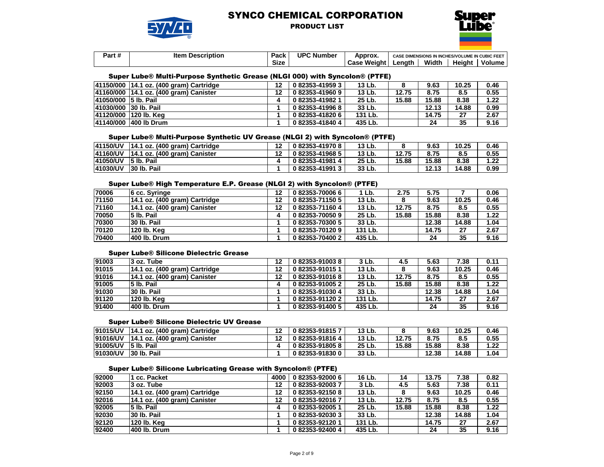

PRODUCT LIST



| . .<br>Part # | <b>Description</b><br>ltem | Pack        | <b>UPC Number</b> | Approx.               | <b>CASE DIMENSIONS IN INCHES/VOLUME IN CUBIC FEET</b> |       |               |        |
|---------------|----------------------------|-------------|-------------------|-----------------------|-------------------------------------------------------|-------|---------------|--------|
|               |                            | <b>Size</b> |                   | <b>Weight</b><br>Case | _enath                                                | Width | <b>Height</b> | Volume |

#### Super Lube® Multi-Purpose Synthetic Grease (NLGI 000) with Syncolon® (PTFE)

|                       | 41150/000 14.1 oz. (400 gram) Cartridge | 12 | 0 82353-41959 3 | 13 Lb.  |       | 9.63  | 10.25 | 0.46 |
|-----------------------|-----------------------------------------|----|-----------------|---------|-------|-------|-------|------|
|                       | 41160/000 14.1 oz. (400 gram) Canister  | 12 | 082353-419609   | 13 Lb.  | 12.75 | 8.75  | 8.5   | 0.55 |
| 41050/000 5 lb. Pail  |                                         |    | 082353-419821   | 25 Lb.  | 15.88 | 15.88 | 8.38  | 1.22 |
| 41030/000 30 lb. Pail |                                         |    | 082353-419968   | 33 Lb.  |       | 12.13 | 14.88 | 0.99 |
|                       | 41120/000 120 lb. Kea                   |    | 082353-418206   | 131 Lb. |       | 14.75 | 27    | 2.67 |
|                       | 41140/000 400 lb Drum                   |    | 082353-418404   | 435 Lb. |       | 24    | 35    | 9.16 |

#### Super Lube® Multi-Purpose Synthetic UV Grease (NLGI 2) with Syncolon® (PTFE)

| <b>41150/UV</b> | 14.1 oz. (400 gram) Cartridge   | 082353-419708 | 13 Lb. |       | 9.63  | 10.25 | 0.46 |
|-----------------|---------------------------------|---------------|--------|-------|-------|-------|------|
| 141160/UV       | $ 14.1$ oz. (400 gram) Canister | 082353-419685 | 13 Lb. | 12.75 | 8.75  | 8.5   | 0.55 |
| 41050/UV        | 15 lb. Pail                     | 082353-419814 | 25 Lb. | 15.88 | 15.88 | 8.38  | 1.22 |
| 141030/UV       | 30 lb. Pail                     | 082353-419913 | 33 Lb. |       | 12.13 | 14.88 | 0.99 |

#### Super Lube® High Temperature E.P. Grease (NLGI 2) with Syncolon® (PTFE)

| 70006 | 6 cc. Syringe                 | 12 | 082353-700066 | 1 Lb.   | 2.75  | 5.75  |       | 0.06 |
|-------|-------------------------------|----|---------------|---------|-------|-------|-------|------|
| 71150 | 14.1 oz. (400 gram) Cartridge | 12 | 082353-711505 | 13 Lb.  |       | 9.63  | 10.25 | 0.46 |
| 71160 | 14.1 oz. (400 gram) Canister  | 12 | 082353-711604 | 13 Lb.  | 12.75 | 8.75  | 8.5   | 0.55 |
| 70050 | 5 lb. Pail                    |    | 082353-700509 | 25 Lb.  | 15.88 | 15.88 | 8.38  | 1.22 |
| 70300 | 30 lb. Pail                   |    | 082353-703005 | 33 Lb.  |       | 12.38 | 14.88 | 1.04 |
| 70120 | 120 lb. Kea                   |    | 082353-701209 | 131 Lb. |       | 14.75 | 27    | 2.67 |
| 70400 | 400 lb. Drum                  |    | 082353-704002 | 435 Lb. |       | 24    | 35    | 9.16 |

#### Super Lube® Silicone Dielectric Grease

| 91003 | 3 oz. Tube                    | 12 | 082353-910038 | 3 Lb.   | 4.5   | 5.63  | 7.38  | 0.11 |
|-------|-------------------------------|----|---------------|---------|-------|-------|-------|------|
| 91015 | 14.1 oz. (400 gram) Cartridge | 12 | 082353-910151 | 13 Lb.  |       | 9.63  | 10.25 | 0.46 |
| 91016 | 14.1 oz. (400 gram) Canister  | 12 | 082353-910168 | 13 Lb.  | 12.75 | 8.75  | 8.5   | 0.55 |
| 91005 | 5 lb. Pail                    |    | 082353-910052 | 25 Lb.  | 15.88 | 15.88 | 8.38  | 1.22 |
| 91030 | 30 lb. Pail                   |    | 082353-910304 | 33 Lb.  |       | 12.38 | 14.88 | 1.04 |
| 91120 | 120 lb. Kea                   |    | 082353-911202 | 131 Lb. |       | 14.75 | 27    | 2.67 |
| 91400 | l400 lb. Drum                 |    | 082353-914005 | 435 Lb. |       | 24    | 35    | 9.16 |

#### Super Lube® Silicone Dielectric UV Grease

| 91015/UV        | $ 14.1$ oz. (400 gram) Cartridge | $\overline{a}$ | 082353-918157 | 13 Lb. |       | 9.63  | 10.25 | 0.46 |
|-----------------|----------------------------------|----------------|---------------|--------|-------|-------|-------|------|
| 91016/UV        | $ 14.1$ oz. (400 gram) Canister  |                | 082353-918164 | 13 Lb. | 12.75 | 8.75  | 8.5   | 0.55 |
| 91005/UV        | 15 lb. Pail                      |                | 082353-918058 | 25 Lb. | 15.88 | 15.88 | 8.38  | 1.22 |
| <b>91030/UV</b> | 30 lb. Pail                      |                | 082353-918300 | 33 Lb. |       | 12.38 | 14.88 | 1.04 |

#### Super Lube® Silicone Lubricating Grease with Syncolon® (PTFE)

| 92000 | 1 cc. Packet                  | 4000 | 0 82353-92000 6 | 16 Lb.  | 14    | 13.75 | 7.38  | 0.82 |
|-------|-------------------------------|------|-----------------|---------|-------|-------|-------|------|
| 92003 | 3 oz. Tube                    | 12   | 082353-920037   | 3 Lb.   | 4.5   | 5.63  | 7.38  | 0.11 |
| 92150 | 14.1 oz. (400 gram) Cartridge | 12   | 082353-921508   | 13 Lb.  | 8     | 9.63  | 10.25 | 0.46 |
| 92016 | 14.1 oz. (400 gram) Canister  | 12   | 082353-920167   | 13 Lb.  | 12.75 | 8.75  | 8.5   | 0.55 |
| 92005 | 5 lb. Pail                    |      | 082353-920051   | 25 Lb.  | 15.88 | 15.88 | 8.38  | 1.22 |
| 92030 | 30 lb. Pail                   |      | 082353-920303   | 33 Lb.  |       | 12.38 | 14.88 | 1.04 |
| 92120 | 120 lb. Keg                   |      | 082353-921201   | 131 Lb. |       | 14.75 | 27    | 2.67 |
| 92400 | 400 lb. Drum                  |      | 082353-924004   | 435 Lb. |       | 24    | 35    | 9.16 |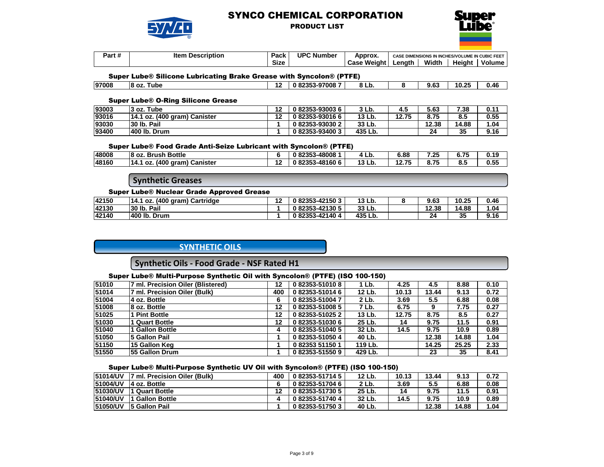

## PRODUCT LIST



| Part <sub>b</sub> | <b>Description</b><br>ltem | Pack        | <b>UPC Number</b> | Approx.          | <b>CASE</b> | <b>S IN INCHES/VOLUME IN CUBIC FEET</b><br><b>DIMENSIONS IN I</b> |        |        |
|-------------------|----------------------------|-------------|-------------------|------------------|-------------|-------------------------------------------------------------------|--------|--------|
|                   |                            | <b>Size</b> |                   | : Weiaht<br>Case | ∟enath      | Width                                                             | Heiaht | Volume |

#### Super Lube® Silicone Lubricating Brake Grease with Syncolon® (PTFE)

| 97008 | 10<br>18 oz<br>⊺ube | m<br>. . | -970087<br>. | o<br>ΟL<br>LIJ. | $\sim$<br>J.v. | אמ חו<br>10.2. | .<br>0.46 |
|-------|---------------------|----------|--------------|-----------------|----------------|----------------|-----------|
|       |                     |          |              |                 |                |                |           |

#### Super Lube® O-Ring Silicone Grease

| 93003 | 3 oz. Tube                   | 49 | 082353-930036 | 3 Lb.   |       | 5.63  | 7.38  | 0.11 |
|-------|------------------------------|----|---------------|---------|-------|-------|-------|------|
| 93016 | 14.1 oz. (400 gram) Canister | 49 | 082353-930166 | 13 Lb.  | 12.75 | 8.75  | 8.5   | 0.55 |
| 93030 | Pail<br>30 lb.               |    | 082353-930302 | 33 Lb.  |       | 12.38 | 14.88 | 1.04 |
| 93400 | 400 lb. Drum                 |    | 082353-934003 | 435 Lb. |       | 24    | 35    | 9.16 |

#### Super Lube® Food Grade Anti-Seize Lubricant with Syncolon® (PTFE)

| 48008 | <b>Bottle</b><br>18 oz.<br>. Brush             |            | 2353-48008<br>0225   | "<br>, ∟v.           | 6.88  | っち<br>. د .        | .<br><b>v.r.</b> | 0.19 |
|-------|------------------------------------------------|------------|----------------------|----------------------|-------|--------------------|------------------|------|
| 48160 | (400<br>Canister<br>aram<br><b>OZ</b><br>- 14. | . .<br>. . | 2353-48160 6<br>0225 | 40 L L<br>∟b.<br>19. | 40.75 | . – <b>.</b><br>о. | о.,              | 0.55 |

## **Synthetic Greases**

#### Super Lube® Nuclear Grade Approved Grease

| 42150 | 14.1 oz. (400 gram)<br>Cartridge | 40<br>'' | 082353-421503 | 13 Lb.  | 9.63      | 10.25 | 0.46 |
|-------|----------------------------------|----------|---------------|---------|-----------|-------|------|
| 42130 | 30 lb.<br>Pail                   |          | 082353-421305 | 33 Lb.  | 12.38     | 14.88 | 04.، |
| 42140 | 400 lb.<br>Drum                  |          | 082353-421404 | 435 Lb. | 24<br>. . | 35    | 9.16 |

## **SYNTHETIC OILS**

# **Synthetic Oils - Food Grade - NSF Rated H1**

#### Super Lube® Multi-Purpose Synthetic Oil with Syncolon® (PTFE) (ISO 100-150)

| 51010 | 7 ml. Precision Oiler (Blistered) | 12  | 082353-510108 | 1 Lb.   | 4.25  | 4.5   | 8.88  | 0.10 |
|-------|-----------------------------------|-----|---------------|---------|-------|-------|-------|------|
| 51014 | 7 ml. Precision Oiler (Bulk)      | 400 | 082353-510146 | 12 Lb.  | 10.13 | 13.44 | 9.13  | 0.72 |
| 51004 | 4 oz. Bottle                      | 6   | 082353-510047 | 2 Lb.   | 3.69  | 5.5   | 6.88  | 0.08 |
| 51008 | 8 oz. Bottle                      | 12  | 082353-510085 | 7 Lb.   | 6.75  | 9     | 7.75  | 0.27 |
| 51025 | <b>Pint Bottle</b>                | 12  | 082353-510252 | 13 Lb.  | 12.75 | 8.75  | 8.5   | 0.27 |
| 51030 | <b>Quart Bottle</b>               | 12  | 082353-510306 | 25 Lb.  | 14    | 9.75  | 11.5  | 0.91 |
| 51040 | <b>Gallon Bottle</b>              | 4   | 082353-510405 | 32 Lb.  | 14.5  | 9.75  | 10.9  | 0.89 |
| 51050 | 5 Gallon Pail                     |     | 082353-510504 | 40 Lb.  |       | 12.38 | 14.88 | 1.04 |
| 51150 | ∣15 Gallon Keɑ                    |     | 082353511501  | 119 Lb. |       | 14.25 | 25.25 | 2.33 |
| 51550 | <b>55 Gallon Drum</b>             |     | 082353-515509 | 429 Lb. |       | 23    | 35    | 8.41 |

#### Super Lube® Multi-Purpose Synthetic UV Oil with Syncolon® (PTFE) (ISO 100-150)

| 51014/UV        | l7 ml. Precision Oiler (Bulk). | 400 | 0 82353-51714 5 | 12 Lb. | 10.13 | 13.44 | 9.13  | 0.72 |
|-----------------|--------------------------------|-----|-----------------|--------|-------|-------|-------|------|
| 51004/UV        | 14 oz. Bottle                  |     | 082353-517046   | 2 Lb.  | 3.69  | 5.5   | 6.88  | 0.08 |
| 51030/UV        | <b>1 Quart Bottle</b>          |     | 0 82353-51730 5 | 25 Lb. | 14    | 9.75  | 11.5  | 0.91 |
| 51040/UV        | I Gallon Bottle                |     | 0 82353-51740 4 | 32 Lb. | 14.5  | 9.75  | 10.9  | 0.89 |
| <b>51050/UV</b> | <b>5 Gallon Pail</b>           |     | 082353-517503   | 40 Lb. |       | 12.38 | 14.88 | 1.04 |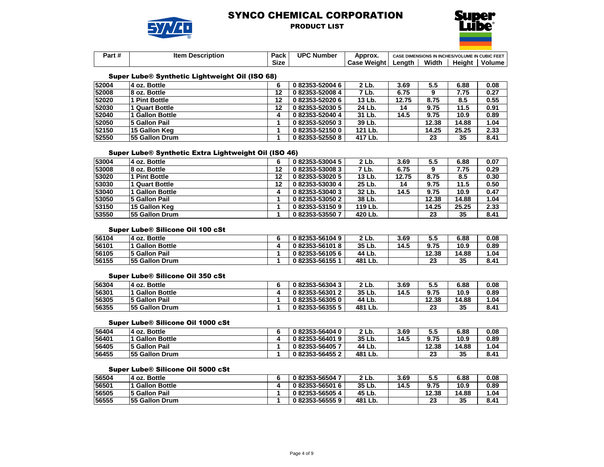

PRODUCT LIST



| $\overline{\mathbf{u}}$<br>Dorl<br>- ai L# | ltem<br><b>Description</b> | <b>Dack</b><br>-acr | UPC N<br>. Number | Approx.        | <b>IENSIONS IN INCHES/VOLUME IN CUBIC FEET</b><br><b>CASE DIME</b> |       |        |        |
|--------------------------------------------|----------------------------|---------------------|-------------------|----------------|--------------------------------------------------------------------|-------|--------|--------|
|                                            |                            | Size                |                   | Weight<br>Caso | ∟enatr                                                             | Width | Heiaht | Volume |

### Super Lube® Synthetic Lightweight Oil (ISO 68)

| 52004 | 4 oz. Bottle          |    | 082353-520046   | 2 Lb.   | 3.69  | 5.5   | 6.88  | 0.08 |
|-------|-----------------------|----|-----------------|---------|-------|-------|-------|------|
| 52008 | 8 oz. Bottle          | 12 | 082353-520084   | 7 Lb.   | 6.75  |       | 7.75  | 0.27 |
| 52020 | 1 Pint Bottle         | 12 | 082353-520206   | 13 Lb.  | 12.75 | 8.75  | 8.5   | 0.55 |
| 52030 | 1 Quart Bottle        | 12 | 082353-520305   | 24 Lb.  | 14    | 9.75  | 11.5  | 0.91 |
| 52040 | <b>Gallon Bottle</b>  |    | 082353-520404   | 31 Lb.  | 14.5  | 9.75  | 10.9  | 0.89 |
| 52050 | 5 Gallon Pail         |    | 0 82353-52050 3 | 39 Lb.  |       | 12.38 | 14.88 | 1.04 |
| 52150 | 15 Gallon Keg         |    | 082353-521500   | 121 Lb. |       | 14.25 | 25.25 | 2.33 |
| 52550 | <b>55 Gallon Drum</b> |    | 082353-525508   | 417 Lb. |       | 23    | 35    | 8.41 |

### Super Lube® Synthetic Extra Lightweight Oil (ISO 46)

| 53004 | 4 oz. Bottle          |    | 0 82353-53004 5 | 2 Lb.   | 3.69  | 5.5   | 6.88  | 0.07 |
|-------|-----------------------|----|-----------------|---------|-------|-------|-------|------|
| 53008 | 8 oz. Bottle          | 12 | 082353-530083   | 7 Lb.   | 6.75  |       | 7.75  | 0.29 |
| 53020 | <b>Pint Bottle</b>    | 12 | 082353-530205   | 13 Lb.  | 12.75 | 8.75  | 8.5   | 0.30 |
| 53030 | Quart Bottle          | 12 | 082353-530304   | 25 Lb.  | 14    | 9.75  | 11.5  | 0.50 |
| 53040 | <b>Gallon Bottle</b>  |    | 082353-530403   | 32 Lb.  | 14.5  | 9.75  | 10.9  | 0.47 |
| 53050 | 5 Gallon Pail         |    | 082353-530502   | 38 Lb.  |       | 12.38 | 14.88 | 1.04 |
| 53150 | <b>15 Gallon Keg</b>  |    | 082353-531509   | 119 Lb. |       | 14.25 | 25.25 | 2.33 |
| 53550 | <b>55 Gallon Drum</b> |    | 082353-535507   | 420 Lb. |       | 23    | 35    | 8.41 |

#### Super Lube® Silicone Oil 100 cSt

| 56104 | 14 oz. Bottle         | 082353-561049 | 2 Lb.      | 3.69 | ວ.ວ   | 6.88  | 0.08 |
|-------|-----------------------|---------------|------------|------|-------|-------|------|
| 56101 | <b>Gallon Bottle</b>  | 082353-561018 | 35 Lb.     | 14.5 | 9.75  | 10.9  | 0.89 |
| 56105 | <b>5 Gallon Pail</b>  | 082353-561056 | 44 Lb.     |      | 12.38 | 14.88 | .04  |
| 56155 | <b>55 Gallon Drum</b> | 082353-561551 | 481<br>Lb. |      | 23    | 35    | 8.41 |

#### Super Lube® Silicone Oil 350 cSt

| 56304 | 14 oz. Bottle         | 082353-563043 | 2 Lb.      | 3.69 | 5.5         | 6.88  | 0.08 |
|-------|-----------------------|---------------|------------|------|-------------|-------|------|
| 56301 | <b>Gallon Bottle</b>  | 082353-56301  | 35 Lb.     | 14.5 | 9.75        | 10.9  | 0.89 |
| 56305 | 5 Gallon Pail         | 082353-563050 | 44 Lb.     |      | 12.38       | 14.88 | 1.04 |
| 56355 | <b>55 Gallon Drum</b> | 082353-563555 | 481<br>Lb. |      | og et<br>20 | 35    | 8.41 |

### Super Lube® Silicone Oil 1000 cSt

| 56404 | 14 oz. Bottle         | 082353-564040 | 2 Lb.      | 3.69 | ວ.ວ       | 6.88  | 0.08 |
|-------|-----------------------|---------------|------------|------|-----------|-------|------|
| 56401 | <b>Gallon Bottle</b>  | 082353-564019 | 35 Lb.     | 14.5 | 9.75      | 10.9  | 0.89 |
| 56405 | <b>5 Gallon Pail</b>  | 082353-564057 | 44 Lb.     |      | 12.38     | 14.88 | 1.04 |
| 56455 | <b>55 Gallon Drum</b> | 082353-564552 | 481<br>Lb. |      | nn.<br>20 | 35    | 8.41 |

#### Super Lube® Silicone Oil 5000 cSt

| 56504 | 4 oz. Bottle          | 082353-565047 | 2 Lb.      | 3.69 | ວ.ວ      | 6.88  | 0.08 |
|-------|-----------------------|---------------|------------|------|----------|-------|------|
| 56501 | l Gallon Bottle       | 082353-565016 | 35 Lb.     | 14.5 | 9.75     | 10.9  | 0.89 |
| 56505 | <b>5 Gallon Pail</b>  | 082353-565054 | 45 Lb.     |      | 12.38    | 14.88 | 1.04 |
| 56555 | <b>55 Gallon Drum</b> | 082353-565559 | 481<br>Lb. |      | nn<br>25 | 35    | 8.41 |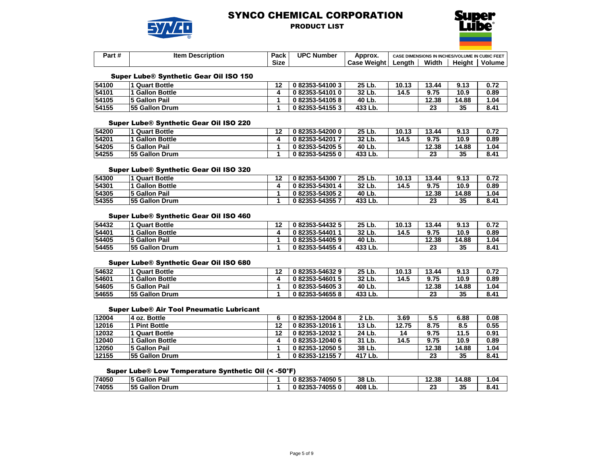

### PRODUCT LIST



| Part# | ltem<br><b>Description</b> | Pack        | UPC Ni<br>. Number | Approx.          | E DIMENSIONS IN INCHES/VOLUME IN CUBIC FEET<br><b>CASE</b> |       |        |        |
|-------|----------------------------|-------------|--------------------|------------------|------------------------------------------------------------|-------|--------|--------|
|       |                            | <b>Size</b> |                    | : Weiaht<br>Case | _enath                                                     | Width | Heiaht | Volume |

#### Super Lube® Synthetic Gear Oil ISO 150

| 54100 | <b>Quart Bottle</b>   | $\overline{a}$ | 0 82353-54100 3 | 25 Lb.  | 10.13 | 13.44 | 9.13  | 0.72 |
|-------|-----------------------|----------------|-----------------|---------|-------|-------|-------|------|
| 54101 | <b>Gallon Bottle</b>  |                | 082353-541010   | 32 Lb.  | 14.5  | 9.75  | 10.9  | 0.89 |
| 54105 | <b>5 Gallon Pail</b>  |                | 082353-541058   | 40 Lb.  |       | 12.38 | 14.88 | 1.04 |
| 54155 | <b>55 Gallon Drum</b> |                | 0 82353-54155 3 | 433 Lb. |       | 23    | 35    | 8.41 |

#### Super Lube® Synthetic Gear Oil ISO 220

| 54200 | Quart Bottle          | $\overline{a}$ | 082353-542000 | 25 Lb.  | 10.13 | 13.44                | 9.13  | 0.72 |
|-------|-----------------------|----------------|---------------|---------|-------|----------------------|-------|------|
| 54201 | <b>Gallon Bottle</b>  |                | 082353-54201  | 32 Lb.  | 14.5  | 9.75                 | 10.9  | 0.89 |
| 54205 | 5 Gallon Pail         |                | 082353-542055 | 40 Lb.  |       | 12.38                | 14.88 | 1.04 |
| 54255 | <b>55 Gallon Drum</b> |                | 082353-542550 | 433 Lb. |       | n <sub>n</sub><br>20 | 35    | 8.41 |

#### Super Lube® Synthetic Gear Oil ISO 320

| 54300 | Quart Bottle          | 19 | 082353-543007 | 25 Lb.  | 10.13 | 13.44   | 9.13  | 0.72 |
|-------|-----------------------|----|---------------|---------|-------|---------|-------|------|
| 54301 | <b>Gallon Bottle</b>  |    | 082353-543014 | 32 Lb.  | 14.5  | 9.75    | 10.9  | 0.89 |
| 54305 | 5 Gallon Pail         |    | 082353-543052 | 40 Lb.  |       | 12.38   | 14.88 | 1.04 |
| 54355 | <b>55 Gallon Drum</b> |    | 082353-543557 | 433 Lb. |       | ng,<br> | 35    | 8.41 |

### Super Lube® Synthetic Gear Oil ISO 460

| 54432 | <b>Quart Bottle</b>    | 40 | 082353-544325   | 25 Lb.  | 10.13 | 13.44     | 9.13  | 0.72 |
|-------|------------------------|----|-----------------|---------|-------|-----------|-------|------|
| 54401 | 1 Gallon Bottle        |    | 0 82353-54401   | 32 Lb.  | 14.5  | 9.75      | 10.9  | 0.89 |
| 54405 | <b>5 Gallon Pail</b>   |    | 0 82353-54405 9 | 40 Lb.  |       | 12.38     | 14.88 | .04  |
| 54455 | <b>155 Gallon Drum</b> |    | 082353-544554   | 433 Lb. |       | nn.<br>43 | 35    | 8.41 |

#### Super Lube® Synthetic Gear Oil ISO 680

| 54632 | <b>Quart Bottle</b>   | 40 | 082353-546329 | 25 Lb.  | 10.13 | 13.44    | 9.13  | 0.72 |
|-------|-----------------------|----|---------------|---------|-------|----------|-------|------|
| 54601 | <b>Gallon Bottle</b>  |    | 082353-546015 | 32 Lb.  | 14.5  | 9.75     | 10.9  | 0.89 |
| 54605 | <b>5 Gallon Pail</b>  |    | 082353-546053 | 40 Lb.  |       | 12.38    | 14.88 | 1.04 |
| 54655 | <b>55 Gallon Drum</b> |    | 082353-546558 | 433 Lb. |       | n.<br>20 | 35    | 8.41 |

#### Super Lube® Air Tool Pneumatic Lubricant

| 12004 | 4 oz. Bottle          |    | 082353-120048 | 2 Lb.   | 3.69  | 5.5   | 6.88  | 0.08 |
|-------|-----------------------|----|---------------|---------|-------|-------|-------|------|
| 12016 | <b>Pint Bottle</b>    | 19 | 082353-120161 | 13 Lb.  | 12.75 | 8.75  | 8.5   | 0.55 |
| 12032 | I Quart Bottle        | 12 | 082353-120321 | 24 Lb.  | 14    | 9.75  | 11.5  | 0.91 |
| 12040 | <b>Gallon Bottle</b>  |    | 082353-120406 | 31 Lb.  | 14.5  | 9.75  | 10.9  | 0.89 |
| 12050 | <b>5 Gallon Pail</b>  |    | 082353-120505 | 38 Lb.  |       | 12.38 | 14.88 | 1.04 |
| 12155 | <b>55 Gallon Drum</b> |    | 082353-121557 | 417 Lb. |       | 23    | 35    | 8.41 |

### Super Lube® Low Temperature Synthetic Oil (< -50°F)

| 74050 | Pail<br>5 Gallon         | 82353-74050 5 | 38<br>∟D.   | 40<br>12.38 | 4.88<br>14. | .04، |
|-------|--------------------------|---------------|-------------|-------------|-------------|------|
| 74055 | <b>Gallon Drum</b><br>55 | 82353-740550  | 408 L<br>Lb | n.<br>w     | つん<br>ึงง   | 8.41 |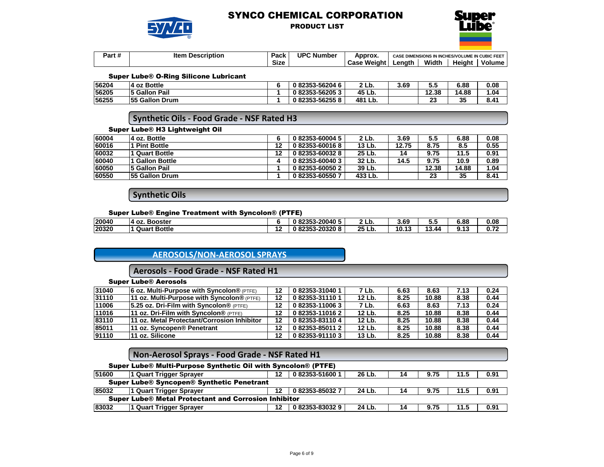

### PRODUCT LIST



| <br>Dor<br>aı<br>. . <del>. .</del> | ltem<br><b>Description</b> | Dook<br>-acr   | <b>UPC Number</b> | Approx.        | <b>CASE DIME</b> | <b>JLUME IN CUBIC FEET</b><br><b>ENSIONS IN INCHES/VOL</b> |        |        |  |
|-------------------------------------|----------------------------|----------------|-------------------|----------------|------------------|------------------------------------------------------------|--------|--------|--|
|                                     |                            | $\sim$<br>Sizc |                   | Weight<br>Caso | ∟enath           | Width                                                      | Heiaht | Volume |  |

#### Super Lube® O-Ring Silicone Lubricant

| 56204 | 14 oz Bottle          | 082353-562046 | 2 Lb.      | 3.69 | v.v       | 6.88  | 0.08 |
|-------|-----------------------|---------------|------------|------|-----------|-------|------|
| 56205 | <b>5 Gallon Pail</b>  | 082353-562053 | 45 Lb.     |      | 12.38     | 14.88 | 04.، |
| 56255 | <b>55 Gallon Drum</b> | 082353-562558 | 481<br>Lb. |      | nn.<br>∠J | 35    | 8.41 |

# **Synthetic Oils - Food Grade - NSF Rated H3**

#### Super Lube® H3 Lightweight Oil

| 60004 | 4 oz. Bottle           |    | 0 82353-60004 5 | 2 Lb.   | 3.69  | 5.5   | 6.88  | 0.08 |
|-------|------------------------|----|-----------------|---------|-------|-------|-------|------|
| 60016 | <b>Pint Bottle</b>     | 12 | 082353-600168   | 13 Lb.  | 12.75 | 8.75  | 8.5   | 0.55 |
| 60032 | 1 Quart Bottle         | 12 | 082353-600328   | 25 Lb.  | 14    | 9.75  | 11.5  | 0.91 |
| 60040 | 1 Gallon Bottle        |    | 082353-600403   | 32 Lb.  | 14.5  | 9.75  | 10.9  | 0.89 |
| 60050 | 5 Gallon Pail          |    | 082353-600502   | 39 Lb.  |       | 12.38 | 14.88 | 1.04 |
| 60550 | <b>155 Gallon Drum</b> |    | 082353-605507   | 433 Lb. |       | 23    | 35    | 8.41 |

# **Synthetic Oils**

#### Super Lube® Engine Treatment with Syncolon® (PTFE)

| 20040 | . Booster<br>۰oz<br>л |               | ا 20040-3-20040-5<br>92252<br>0<br>ΩZ   | . .<br>ື່ | 3.69  | ๋ ∙          | 6.88             | 0.08        |
|-------|-----------------------|---------------|-----------------------------------------|-----------|-------|--------------|------------------|-------------|
| 20320 | <b>Quart Bottle</b>   | $\sim$<br>. . | _ან3-20320 <sup>ი</sup><br>192252<br>04 | 25 Lb.    | 10.13 | 49<br>- 3.44 | 9.17<br>. .<br>. | n 70<br>V·l |

# **AEROSOLS/NON-AEROSOL SPRAYS**

# **Aerosols - Food Grade - NSF Rated H1**

|  |  | <b>Super Lube® Aerosols</b> |
|--|--|-----------------------------|
|--|--|-----------------------------|

| 31040 | <b>6 oz. Multi-Purpose with Syncolon®</b> (PTFE)    | 12 | 082353-310401 | 7 Lb.  | 6.63 | 8.63  | 7.13 | 0.24 |
|-------|-----------------------------------------------------|----|---------------|--------|------|-------|------|------|
| 31110 | 11 oz. Multi-Purpose with Syncolon® (PTFE)          | 12 | 082353-311101 | 12 Lb. | 8.25 | 10.88 | 8.38 | 0.44 |
| 11006 | 5.25 oz. Dri-Film with Syncolon <sup>®</sup> (PTFE) | 12 | 082353-110063 | 7 Lb.  | 6.63 | 8.63  | 7.13 | 0.24 |
| 11016 | 11 oz. Dri-Film with Syncolon® (PTFE)               | 12 | 082353-110162 | 12 Lb. | 8.25 | 10.88 | 8.38 | 0.44 |
| 83110 | 11 oz. Metal Protectant/Corrosion Inhibitor         | 12 | 082353-831104 | 12 Lb. | 8.25 | 10.88 | 8.38 | 0.44 |
| 85011 | l11 oz. Svncopen® Penetrant                         | 12 | 082353-850112 | 12 Lb. | 8.25 | 10.88 | 8.38 | 0.44 |
| 91110 | 11 oz. Silicone                                     | 12 | 082353-911103 | 13 Lb. | 8.25 | 10.88 | 8.38 | 0.44 |

## Super Lube® Multi-Purpose Synthetic Oil with Syncolon® (PTFE)

| 51600                                                | 1 Quart Trigger Sprayer | 12 | 082353-516001 | 26 Lb. | 14 | 9.75 | 11.5 | 0.91 |  |  |
|------------------------------------------------------|-------------------------|----|---------------|--------|----|------|------|------|--|--|
| Super Lube® Syncopen® Synthetic Penetrant            |                         |    |               |        |    |      |      |      |  |  |
| 85032                                                | 1 Quart Trigger Sprayer |    | 082353-850327 | 24 Lb. | 14 | 9.75 | 11.5 | 0.91 |  |  |
| Super Lube® Metal Protectant and Corrosion Inhibitor |                         |    |               |        |    |      |      |      |  |  |
| 83032                                                | 1 Quart Trigger Sprayer |    | 082353-830329 | 24 Lb. | 14 | 9.75 | 11.5 | 0.91 |  |  |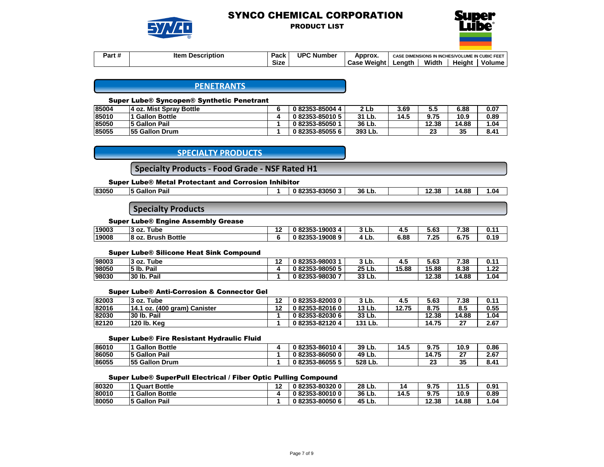

PRODUCT LIST



| .<br>Jort.<br>7 a 1 u | Item<br><b>Description</b> | Pack        | <b>UPC Number</b> | Approx.        | E DIMENSIONS IN INCHES/VOLUME IN CUBIC FEET<br><b>CASE</b> |       |        |        |
|-----------------------|----------------------------|-------------|-------------------|----------------|------------------------------------------------------------|-------|--------|--------|
|                       |                            | <b>Size</b> |                   | Weight<br>Case | Lenath                                                     | Width | Heiaht | Volume |

**PENETRANTS**

#### Super Lube® Syncopen® Synthetic Penetrant

| 85004 | 4 oz. Mist Sprav Bottle | 082353-850044 |         | 3.69 | 5.5   | 6.88  | 0.07 |
|-------|-------------------------|---------------|---------|------|-------|-------|------|
| 85010 | l Gallon Bottle         | 082353-850105 | 31 Lb.  | 14.5 | 9.75  | 10.9  | 0.89 |
| 85050 | 5 Gallon Pail           | 082353-850501 | 36 Lb.  |      | 12.38 | 14.88 | 1.04 |
| 85055 | <b>55 Gallon Drum</b>   | 082353-850556 | 393 Lb. |      | 23    | 35    | 8.41 |

### **SPECIALTY PRODUCTS**

**Specialty Products - Food Grade - NSF Rated H1**

#### Super Lube® Metal Protectant and Corrosion Inhibitor

## **Specialty Products**

#### Super Lube® Engine Assembly Grease

| 19003 | 13 oz.<br>⊺ube                         | "<br>. . | 19003<br>4<br>_ാാാ-     | LD.<br>., | "<br> | $\sim$<br>ე.ხა | 7.38 | . v. .       |
|-------|----------------------------------------|----------|-------------------------|-----------|-------|----------------|------|--------------|
| 19008 | <b>Brush Bottle</b><br>In<br>OZ.<br>ıо |          | 190089<br>_ാാാ-<br>u oz | LD.<br>4  | 6.88  | ົດຂ<br>$-2 -$  | 6.75 | . .<br>v. I: |

#### Super Lube® Silicone Heat Sink Compound

| 98003 | Tube<br>13 oz. | $\sim$<br>. . | 82353-98003<br>0     | 3 Lb.     |       | co.<br>ა.ხა | 7.38      | 0.11          |
|-------|----------------|---------------|----------------------|-----------|-------|-------------|-----------|---------------|
| 98050 | 5 lb.<br>Pail  |               | 82353-98050 5<br>0   | 25<br>Lb. | 15.88 | 15.88       | 8.38      | ົດດ<br>I . 44 |
| 98030 | 30 lb.<br>Pail |               | 82353-98030 7 ل<br>0 | 33<br>Lb. |       | 12.38       | 4.88<br>л | 04.،          |

#### Super Lube® Anti-Corrosion & Connector Gel

| 82003 | 3 oz. Tube                   | <b>A 0</b> | 082353-820030 | 3 Lb.      | 4.5   | 5.63  | 7.38    | 0.11 |
|-------|------------------------------|------------|---------------|------------|-------|-------|---------|------|
| 82016 | 14.1 oz. (400 gram) Canister | <b>A 0</b> | 082353-820160 | 13 Lb.     | 12.75 | 8.75  | 8.5     | 0.55 |
| 82030 | 30 lb. Pail                  |            | 082353-820306 | 33 Lb.     |       | 12.38 | 14.88   | 1.04 |
| 82120 | 120 lb. Kea                  |            | 082353-821204 | 131<br>Lb. |       | 14.75 | ີ<br>41 | 2.67 |

#### Super Lube® Fire Resistant Hydraulic Fluid

| 86010 | Gallon<br><b>Bottle</b>  | 082353-860104 | 39 Lb.  | 14.5 | フド<br>J.I J | 10.9     | 0.86 |
|-------|--------------------------|---------------|---------|------|-------------|----------|------|
| 86050 | ∟Pail<br><b>5 Gallon</b> | 082353-860500 | 49 Lb.  |      | 14.75       | ^7       | 2.67 |
| 86055 | <b>55 Gallon Drum</b>    | 082353-860555 | 528 Lb. |      | co.<br>     | つに<br>JJ | 8.41 |

#### Super Lube® SuperPull Electrical / Fiber Optic Pulling Compound

| 80320 | <b>Quart Bottle</b>  | $\overline{a}$<br>. . | 82353-803200  | 28 Lb.      |      | - 75  | 44<br> | 0.91 |
|-------|----------------------|-----------------------|---------------|-------------|------|-------|--------|------|
| 80010 | <b>Gallon Bottle</b> |                       | 82353-800100  | 36 L<br>Lb. | 14.5 | - 75  | 10.9   | 0.89 |
| 80050 | 5 Gallon Pail        |                       | 82353-80050 6 | 45<br>Lb.   |      | 12.38 | 14.88  | .04  |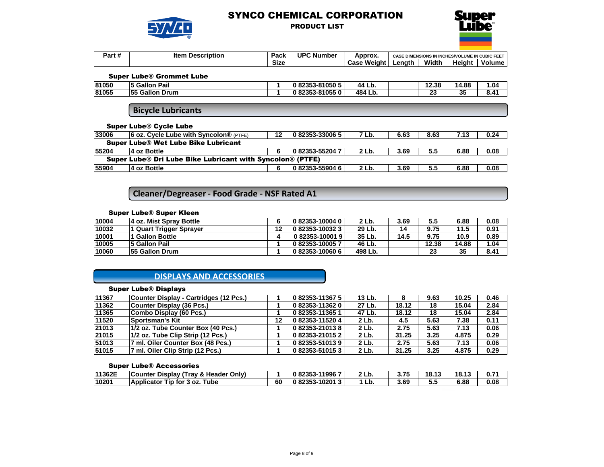

## PRODUCT LIST



| <br>Jort.<br><b>αιιπ</b> | lter<br><b>Description</b> | Dook<br>au r   | <b>UPC Number</b> | Approx.               | E DIMENSIONS IN INCHES/VOLUME IN CUBIC FEET<br><b>CASE</b> |       |        |        |
|--------------------------|----------------------------|----------------|-------------------|-----------------------|------------------------------------------------------------|-------|--------|--------|
|                          |                            | $\sim$<br>Size |                   | <b>Weight</b><br>Casc | _enatr                                                     | Width | Heiaht | Volume |

#### Super Lube® Grommet Lube

| 81050 | <b>Gallor</b><br>$\overline{\phantom{a}}$<br>Pail | 82353-81050 5           | 44<br>LD.   | 12.38        | 14.88    | .04           |
|-------|---------------------------------------------------|-------------------------|-------------|--------------|----------|---------------|
| 81055 | 55 Gallon Drum                                    | 82353-810550<br>. OODED | 484 Lb<br>ᄖ | $\sim$<br>∠⊽ | 25<br>J, | $8.4^{\circ}$ |

**Bicycle Lubricants**

#### Super Lube® Cycle Lube

| 33006                                                            | <b>6 oz. Cycle Lube with Syncolon®</b> (PTFE) | 12 | 082353-330065 | 7 Lb. | 6.63 | 8.63 | 7.13 | 0.24 |  |  |  |
|------------------------------------------------------------------|-----------------------------------------------|----|---------------|-------|------|------|------|------|--|--|--|
| Super Lube® Wet Lube Bike Lubricant                              |                                               |    |               |       |      |      |      |      |  |  |  |
| 55204                                                            | 4 oz Bottle                                   |    | 082353-552047 | 2 Lb. | 3.69 | 5.5  | 6.88 | 0.08 |  |  |  |
| <b>Super Lube® Dri Lube Bike Lubricant with Syncolon® (PTFE)</b> |                                               |    |               |       |      |      |      |      |  |  |  |
| 55904                                                            | 4 oz Bottle                                   |    | 082353-559046 | 2 Lb. | 3.69 | 5.5  | 6.88 | 0.08 |  |  |  |

# **Cleaner/Degreaser - Food Grade - NSF Rated A1**

## Super Lube® Super Kleen

| 10004 | 4 oz. Mist Spray Bottle | 082353-100040       | 2 Lb.   | 3.69 | 5.5   | 6.88  | 0.08 |
|-------|-------------------------|---------------------|---------|------|-------|-------|------|
| 10032 | l Quart Trigger Spraver | 082353-100323       | 29 Lb.  | 14   | 9.75  | 11.5  | 0.91 |
| 10001 | I Gallon Bottle         | $0.82353 - 10001.9$ | 35 Lb.  | 14.5 | 9.75  | 10.9  | 0.89 |
| 10005 | <b>5 Gallon Pail</b>    | 082353-100057       | 46 Lb.  |      | 12.38 | 14.88 | 1.04 |
| 10060 | <b>55 Gallon Drum</b>   | 082353-100606       | 498 Lb. |      | 23    | 35    | 8.41 |

## **DISPLAYS AND ACCESSORIES**

## Super Lube® Displays

| 11367 | Counter Display - Cartridges (12 Pcs.) |    | 082353-113675 | 13 Lb. |       | 9.63 | 10.25 | 0.46 |
|-------|----------------------------------------|----|---------------|--------|-------|------|-------|------|
| 11362 | Counter Display (36 Pcs.)              |    | 082353-113620 | 27 Lb. | 18.12 | 18   | 15.04 | 2.84 |
| 11365 | Combo Display (60 Pcs.)                |    | 082353-113651 | 47 Lb. | 18.12 | 18   | 15.04 | 2.84 |
| 11520 | <b>Sportsman's Kit</b>                 | 12 | 082353-115204 | 2 Lb.  | 4.5   | 5.63 | 7.38  | 0.11 |
| 21013 | 11/2 oz. Tube Counter Box (40 Pcs.)    |    | 082353-210138 | 2 Lb.  | 2.75  | 5.63 | 7.13  | 0.06 |
| 21015 | 1/2 oz. Tube Clip Strip (12 Pcs.)      |    | 082353-210152 | 2 Lb.  | 31.25 | 3.25 | 4.875 | 0.29 |
| 51013 | 7 ml. Oiler Counter Box (48 Pcs.)      |    | 082353-510139 | 2 Lb.  | 2.75  | 5.63 | 7.13  | 0.06 |
| 51015 | 7 ml. Oiler Clip Strip (12 Pcs.)       |    | 082353-510153 | 2 Lb.  | 31.25 | 3.25 | 4.875 | 0.29 |

#### Super Lube® Accessories

| 11362E | Counter Display (Tray & Header Only) |    | 082353-119967 | $2th$ . | 3.75 | 18.13 | 18.13 |      |
|--------|--------------------------------------|----|---------------|---------|------|-------|-------|------|
| 10201  | Applicator Tip for 3 oz.<br>™ube     | 60 | 082353-102013 | Lb.     | 3.69 | ວ.ວ   | 6.88  | 0.08 |